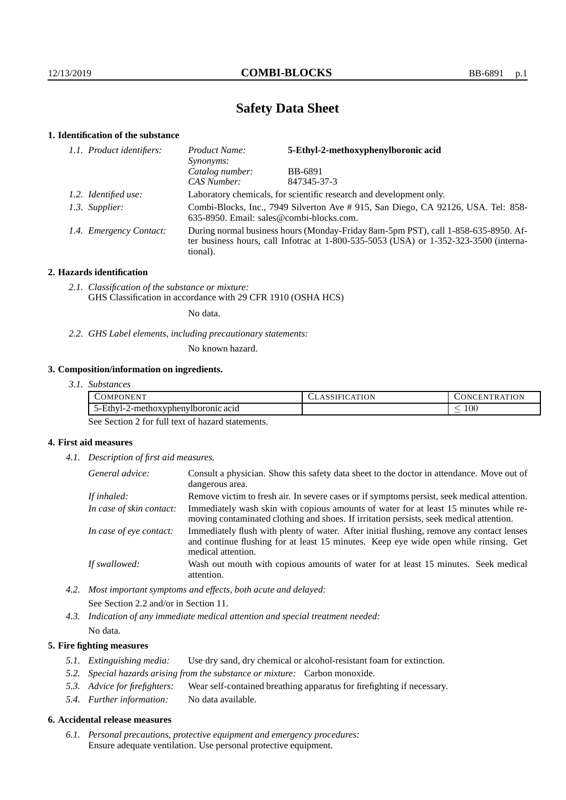# **Safety Data Sheet**

# **1. Identification of the substance**

| 1.1. Product identifiers: | 5-Ethyl-2-methoxyphenylboronic acid<br>Product Name:<br><i>Synonyms:</i>                                                                                                                    |             |
|---------------------------|---------------------------------------------------------------------------------------------------------------------------------------------------------------------------------------------|-------------|
|                           | Catalog number:                                                                                                                                                                             | BB-6891     |
|                           | CAS Number:                                                                                                                                                                                 | 847345-37-3 |
| 1.2. Identified use:      | Laboratory chemicals, for scientific research and development only.                                                                                                                         |             |
| 1.3. Supplier:            | Combi-Blocks, Inc., 7949 Silverton Ave # 915, San Diego, CA 92126, USA. Tel: 858-<br>635-8950. Email: sales@combi-blocks.com.                                                               |             |
| 1.4. Emergency Contact:   | During normal business hours (Monday-Friday 8am-5pm PST), call 1-858-635-8950. Af-<br>ter business hours, call Infotrac at $1-800-535-5053$ (USA) or $1-352-323-3500$ (interna-<br>tional). |             |

# **2. Hazards identification**

*2.1. Classification of the substance or mixture:* GHS Classification in accordance with 29 CFR 1910 (OSHA HCS)

No data.

*2.2. GHS Label elements, including precautionary statements:*

No known hazard.

# **3. Composition/information on ingredients.**

| COMPONENT!                              | ATION<br>∴A I<br>$\Delta$ SSIF!" | ATION<br>DNCEN'<br>`R A` |
|-----------------------------------------|----------------------------------|--------------------------|
| )-Ethvl-<br>2-methoxyphenylboronic acid |                                  | $100\,$                  |

See Section 2 for full text of hazard statements.

# **4. First aid measures**

*4.1. Description of first aid measures.*

| General advice:          | Consult a physician. Show this safety data sheet to the doctor in attendance. Move out of<br>dangerous area.                                                                                            |  |
|--------------------------|---------------------------------------------------------------------------------------------------------------------------------------------------------------------------------------------------------|--|
| If inhaled:              | Remove victim to fresh air. In severe cases or if symptoms persist, seek medical attention.                                                                                                             |  |
| In case of skin contact: | Immediately wash skin with copious amounts of water for at least 15 minutes while re-<br>moving contaminated clothing and shoes. If irritation persists, seek medical attention.                        |  |
| In case of eye contact:  | Immediately flush with plenty of water. After initial flushing, remove any contact lenses<br>and continue flushing for at least 15 minutes. Keep eye wide open while rinsing. Get<br>medical attention. |  |
| If swallowed:            | Wash out mouth with copious amounts of water for at least 15 minutes. Seek medical<br>attention.                                                                                                        |  |

*4.2. Most important symptoms and effects, both acute and delayed:* See Section 2.2 and/or in Section 11.

*4.3. Indication of any immediate medical attention and special treatment needed:* No data.

# **5. Fire fighting measures**

- *5.1. Extinguishing media:* Use dry sand, dry chemical or alcohol-resistant foam for extinction.
- *5.2. Special hazards arising from the substance or mixture:* Carbon monoxide.
- *5.3. Advice for firefighters:* Wear self-contained breathing apparatus for firefighting if necessary.
- *5.4. Further information:* No data available.

## **6. Accidental release measures**

*6.1. Personal precautions, protective equipment and emergency procedures:* Ensure adequate ventilation. Use personal protective equipment.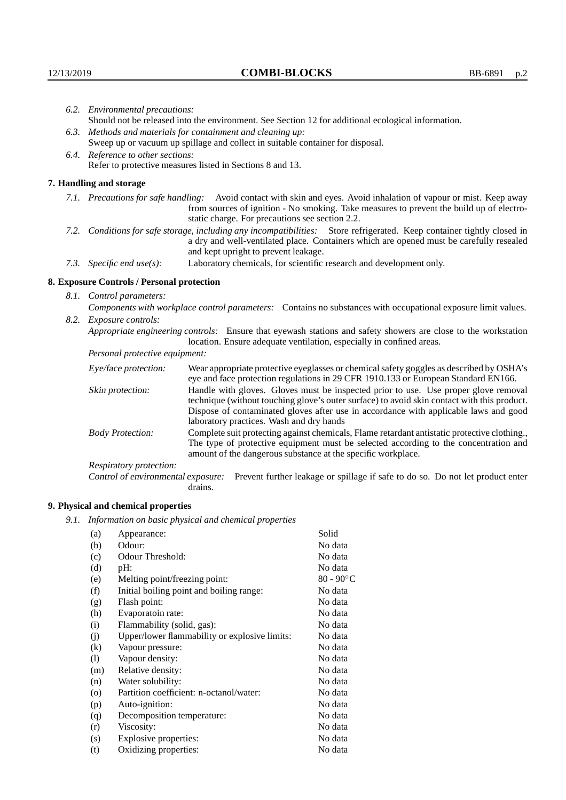|      | 6.2. Environmental precautions:                                                                                                                                                                                                                            |                                                                                                                                                                                                                                                                    |  |  |  |
|------|------------------------------------------------------------------------------------------------------------------------------------------------------------------------------------------------------------------------------------------------------------|--------------------------------------------------------------------------------------------------------------------------------------------------------------------------------------------------------------------------------------------------------------------|--|--|--|
|      | Should not be released into the environment. See Section 12 for additional ecological information.                                                                                                                                                         |                                                                                                                                                                                                                                                                    |  |  |  |
|      | 6.3. Methods and materials for containment and cleaning up:                                                                                                                                                                                                |                                                                                                                                                                                                                                                                    |  |  |  |
|      | Sweep up or vacuum up spillage and collect in suitable container for disposal.                                                                                                                                                                             |                                                                                                                                                                                                                                                                    |  |  |  |
|      | 6.4. Reference to other sections:                                                                                                                                                                                                                          |                                                                                                                                                                                                                                                                    |  |  |  |
|      |                                                                                                                                                                                                                                                            | Refer to protective measures listed in Sections 8 and 13.                                                                                                                                                                                                          |  |  |  |
|      | 7. Handling and storage                                                                                                                                                                                                                                    |                                                                                                                                                                                                                                                                    |  |  |  |
|      |                                                                                                                                                                                                                                                            | 7.1. Precautions for safe handling: Avoid contact with skin and eyes. Avoid inhalation of vapour or mist. Keep away<br>from sources of ignition - No smoking. Take measures to prevent the build up of electro-<br>static charge. For precautions see section 2.2. |  |  |  |
|      | 7.2. Conditions for safe storage, including any incompatibilities: Store refrigerated. Keep container tightly closed in<br>a dry and well-ventilated place. Containers which are opened must be carefully resealed<br>and kept upright to prevent leakage. |                                                                                                                                                                                                                                                                    |  |  |  |
|      | 7.3. Specific end use(s):                                                                                                                                                                                                                                  | Laboratory chemicals, for scientific research and development only.                                                                                                                                                                                                |  |  |  |
|      | 8. Exposure Controls / Personal protection                                                                                                                                                                                                                 |                                                                                                                                                                                                                                                                    |  |  |  |
|      | 8.1. Control parameters:                                                                                                                                                                                                                                   |                                                                                                                                                                                                                                                                    |  |  |  |
|      | Components with workplace control parameters: Contains no substances with occupational exposure limit values.                                                                                                                                              |                                                                                                                                                                                                                                                                    |  |  |  |
| 8.2. | <i>Exposure controls:</i>                                                                                                                                                                                                                                  |                                                                                                                                                                                                                                                                    |  |  |  |
|      | Appropriate engineering controls: Ensure that eyewash stations and safety showers are close to the workstation<br>location. Ensure adequate ventilation, especially in confined areas.                                                                     |                                                                                                                                                                                                                                                                    |  |  |  |
|      | Personal protective equipment:                                                                                                                                                                                                                             |                                                                                                                                                                                                                                                                    |  |  |  |
|      | Eye/face protection:                                                                                                                                                                                                                                       | Wear appropriate protective eyeglasses or chemical safety goggles as described by OSHA's<br>eye and face protection regulations in 29 CFR 1910.133 or European Standard EN166.                                                                                     |  |  |  |
|      | Skin protection:                                                                                                                                                                                                                                           | Handle with gloves. Gloves must be inspected prior to use. Use proper glove removal<br>technique (without touching glove's outer surface) to avoid skin contact with this product                                                                                  |  |  |  |

# **8. Exposure Controls / Personal protection**

| Eye/face protection:               | Wear appropriate protective eyeglasses or chemical safety goggles as described by OSHA's<br>eye and face protection regulations in 29 CFR 1910.133 or European Standard EN166.                                                                                                                                         |  |  |
|------------------------------------|------------------------------------------------------------------------------------------------------------------------------------------------------------------------------------------------------------------------------------------------------------------------------------------------------------------------|--|--|
| Skin protection:                   | Handle with gloves. Gloves must be inspected prior to use. Use proper glove removal<br>technique (without touching glove's outer surface) to avoid skin contact with this product.<br>Dispose of contaminated gloves after use in accordance with applicable laws and good<br>laboratory practices. Wash and dry hands |  |  |
| <b>Body Protection:</b>            | Complete suit protecting against chemicals, Flame retardant antistatic protective clothing.<br>The type of protective equipment must be selected according to the concentration and<br>amount of the dangerous substance at the specific workplace.                                                                    |  |  |
| Respiratory protection:            |                                                                                                                                                                                                                                                                                                                        |  |  |
| Control of environmental exposure: | Prevent further leakage or spillage if safe to do so. Do not let product enter<br>drains.                                                                                                                                                                                                                              |  |  |

# **9. Physical and chemical properties**

*9.1. Information on basic physical and chemical properties*

| (a)                | Appearance:                                   | Solid        |
|--------------------|-----------------------------------------------|--------------|
| (b)                | Odour:                                        | No data      |
| (c)                | Odour Threshold:                              | No data      |
| (d)                | $pH$ :                                        | No data      |
| (e)                | Melting point/freezing point:                 | $80 - 90$ °C |
| (f)                | Initial boiling point and boiling range:      | No data      |
| (g)                | Flash point:                                  | No data      |
| (h)                | Evaporatoin rate:                             | No data      |
| (i)                | Flammability (solid, gas):                    | No data      |
| (j)                | Upper/lower flammability or explosive limits: | No data      |
| (k)                | Vapour pressure:                              | No data      |
| (1)                | Vapour density:                               | No data      |
| (m)                | Relative density:                             | No data      |
| (n)                | Water solubility:                             | No data      |
| $\left( 0 \right)$ | Partition coefficient: n-octanol/water:       | No data      |
| (p)                | Auto-ignition:                                | No data      |
| (q)                | Decomposition temperature:                    | No data      |
| (r)                | Viscosity:                                    | No data      |
| (s)                | Explosive properties:                         | No data      |
| (t)                | Oxidizing properties:                         | No data      |
|                    |                                               |              |